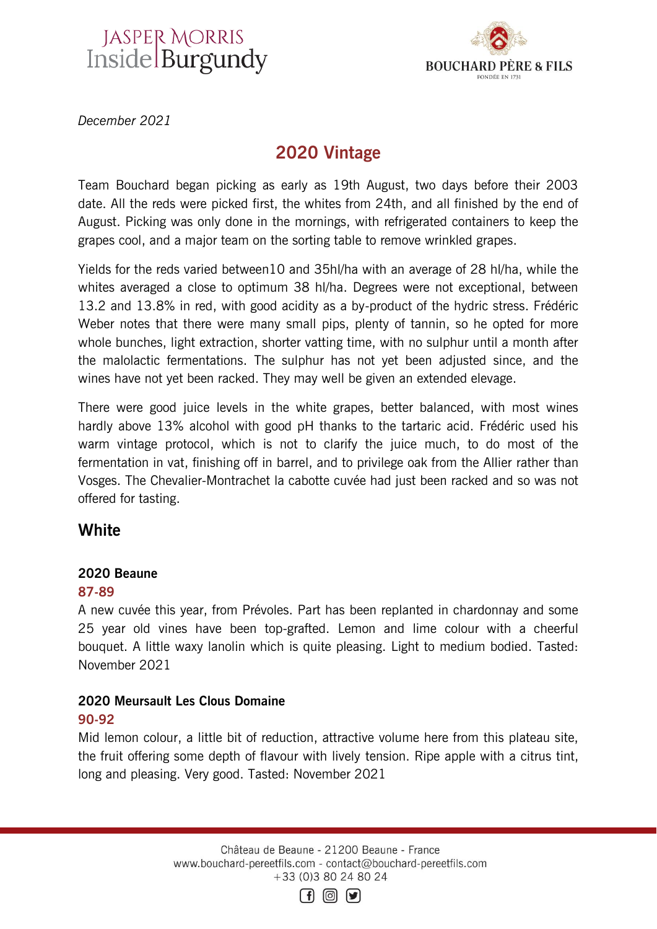# JASPER MORRIS<br>Inside Burgundy



*December 2021*

# 2020 Vintage

Team Bouchard began picking as early as 19th August, two days before their 2003 date. All the reds were picked first, the whites from 24th, and all finished by the end of August. Picking was only done in the mornings, with refrigerated containers to keep the grapes cool, and a major team on the sorting table to remove wrinkled grapes.

Yields for the reds varied between10 and 35hl/ha with an average of 28 hl/ha, while the whites averaged a close to optimum 38 hl/ha. Degrees were not exceptional, between 13.2 and 13.8% in red, with good acidity as a by-product of the hydric stress. Frédéric Weber notes that there were many small pips, plenty of tannin, so he opted for more whole bunches, light extraction, shorter vatting time, with no sulphur until a month after the malolactic fermentations. The sulphur has not yet been adjusted since, and the wines have not yet been racked. They may well be given an extended elevage.

There were good juice levels in the white grapes, better balanced, with most wines hardly above 13% alcohol with good pH thanks to the tartaric acid. Frédéric used his warm vintage protocol, which is not to clarify the juice much, to do most of the fermentation in vat, finishing off in barrel, and to privilege oak from the Allier rather than Vosges. The Chevalier-Montrachet la cabotte cuvée had just been racked and so was not offered for tasting.

# **White**

# 2020 Beaune

## 87-89

A new cuvée this year, from Prévoles. Part has been replanted in chardonnay and some 25 year old vines have been top-grafted. Lemon and lime colour with a cheerful bouquet. A little waxy lanolin which is quite pleasing. Light to medium bodied. Tasted: November 2021

# 2020 Meursault Les Clous Domaine 90-92

Mid lemon colour, a little bit of reduction, attractive volume here from this plateau site, the fruit offering some depth of flavour with lively tension. Ripe apple with a citrus tint, long and pleasing. Very good. Tasted: November 2021

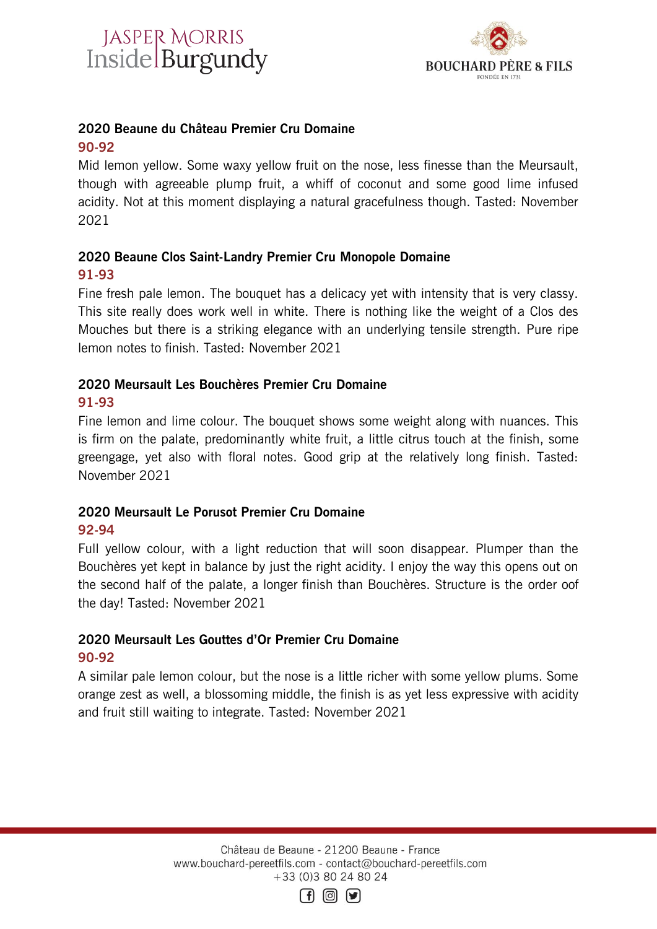



## 2020 Beaune du Château Premier Cru Domaine

## 90-92

Mid lemon yellow. Some waxy yellow fruit on the nose, less finesse than the Meursault, though with agreeable plump fruit, a whiff of coconut and some good lime infused acidity. Not at this moment displaying a natural gracefulness though. Tasted: November 2021

## 2020 Beaune Clos Saint-Landry Premier Cru Monopole Domaine 91-93

Fine fresh pale lemon. The bouquet has a delicacy yet with intensity that is very classy. This site really does work well in white. There is nothing like the weight of a Clos des Mouches but there is a striking elegance with an underlying tensile strength. Pure ripe lemon notes to finish. Tasted: November 2021

# 2020 Meursault Les Bouchères Premier Cru Domaine

## 91-93

Fine lemon and lime colour. The bouquet shows some weight along with nuances. This is firm on the palate, predominantly white fruit, a little citrus touch at the finish, some greengage, yet also with floral notes. Good grip at the relatively long finish. Tasted: November 2021

# 2020 Meursault Le Porusot Premier Cru Domaine

## 92-94

Full yellow colour, with a light reduction that will soon disappear. Plumper than the Bouchères yet kept in balance by just the right acidity. I enjoy the way this opens out on the second half of the palate, a longer finish than Bouchères. Structure is the order oof the day! Tasted: November 2021

## 2020 Meursault Les Gouttes d'Or Premier Cru Domaine 90-92

A similar pale lemon colour, but the nose is a little richer with some yellow plums. Some orange zest as well, a blossoming middle, the finish is as yet less expressive with acidity and fruit still waiting to integrate. Tasted: November 2021

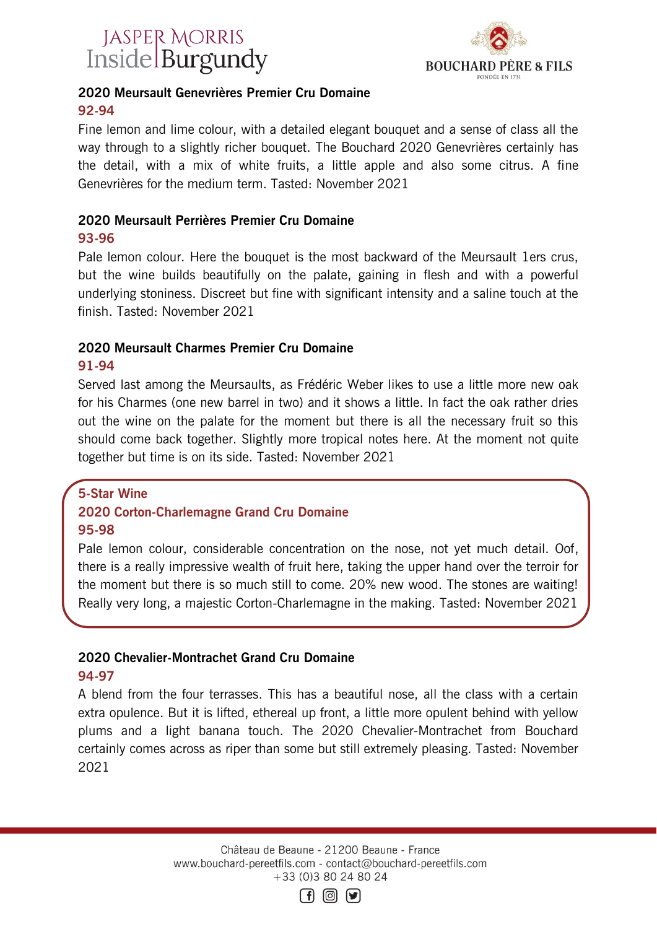



# 2020 Meursault Genevrières Premier Cru Domaine 92-94

Fine lemon and lime colour, with a detailed elegant bouquet and a sense of class all the way through to a slightly richer bouquet. The Bouchard 2020 Genevrières certainly has the detail, with a mix of white fruits, a little apple and also some citrus. A fine Genevrières for the medium term. Tasted: November 2021

#### 2020 Meursault Perrières Premier Cru Domaine 93-96

Pale lemon colour. Here the bouquet is the most backward of the Meursault 1ers crus, but the wine builds beautifully on the palate, gaining in flesh and with a powerful underlying stoniness. Discreet but fine with significant intensity and a saline touch at the finish. Tasted: November 2021

# 2020 Meursault Charmes Premier Cru Domaine

## 91-94

Served last among the Meursaults, as Frédéric Weber likes to use a little more new oak for his Charmes (one new barrel in two) and it shows a little. In fact the oak rather dries out the wine on the palate for the moment but there is all the necessary fruit so this should come back together. Slightly more tropical notes here. At the moment not quite together but time is on its side. Tasted: November 2021

# 5-Star Wine 2020 Corton-Charlemagne Grand Cru Domaine 95-98

Pale lemon colour, considerable concentration on the nose, not yet much detail. Oof, there is a really impressive wealth of fruit here, taking the upper hand over the terroir for the moment but there is so much still to come. 20% new wood. The stones are waiting! Really very long, a majestic Corton-Charlemagne in the making. Tasted: November 2021

# 2020 Chevalier-Montrachet Grand Cru Domaine

# 94-97

A blend from the four terrasses. This has a beautiful nose, all the class with a certain extra opulence. But it is lifted, ethereal up front, a little more opulent behind with yellow plums and a light banana touch. The 2020 Chevalier-Montrachet from Bouchard certainly comes across as riper than some but still extremely pleasing. Tasted: November 2021

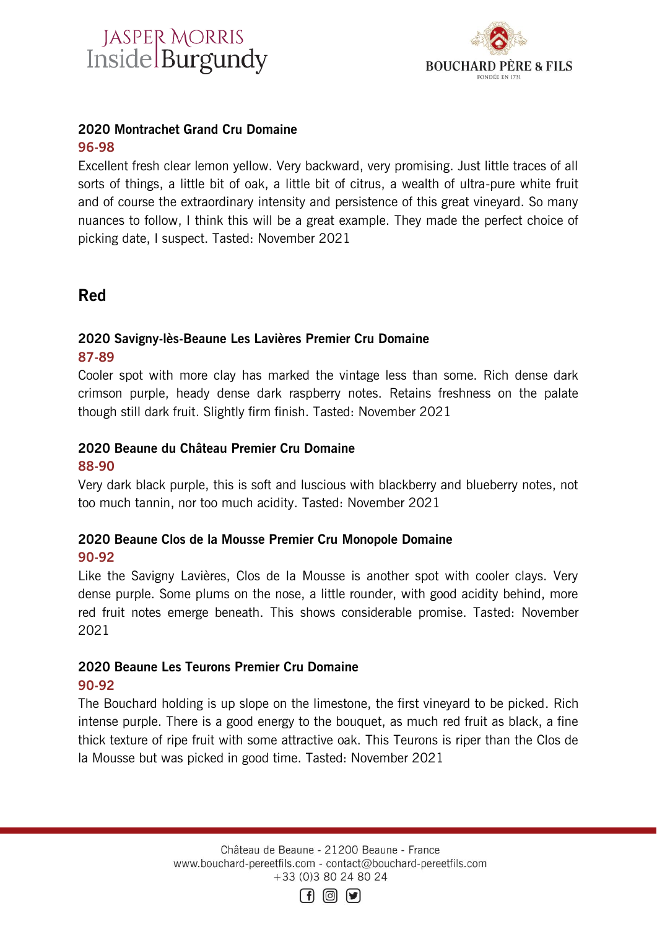



# 2020 Montrachet Grand Cru Domaine

# 96-98

Excellent fresh clear lemon yellow. Very backward, very promising. Just little traces of all sorts of things, a little bit of oak, a little bit of citrus, a wealth of ultra-pure white fruit and of course the extraordinary intensity and persistence of this great vineyard. So many nuances to follow, I think this will be a great example. They made the perfect choice of picking date, I suspect. Tasted: November 2021

# Red

# 2020 Savigny-lès-Beaune Les Lavières Premier Cru Domaine

#### 87-89

Cooler spot with more clay has marked the vintage less than some. Rich dense dark crimson purple, heady dense dark raspberry notes. Retains freshness on the palate though still dark fruit. Slightly firm finish. Tasted: November 2021

# 2020 Beaune du Château Premier Cru Domaine

## 88-90

Very dark black purple, this is soft and luscious with blackberry and blueberry notes, not too much tannin, nor too much acidity. Tasted: November 2021

## 2020 Beaune Clos de la Mousse Premier Cru Monopole Domaine 90-92

Like the Savigny Lavières, Clos de la Mousse is another spot with cooler clays. Very dense purple. Some plums on the nose, a little rounder, with good acidity behind, more red fruit notes emerge beneath. This shows considerable promise. Tasted: November 2021

## 2020 Beaune Les Teurons Premier Cru Domaine 90-92

The Bouchard holding is up slope on the limestone, the first vineyard to be picked. Rich intense purple. There is a good energy to the bouquet, as much red fruit as black, a fine thick texture of ripe fruit with some attractive oak. This Teurons is riper than the Clos de la Mousse but was picked in good time. Tasted: November 2021

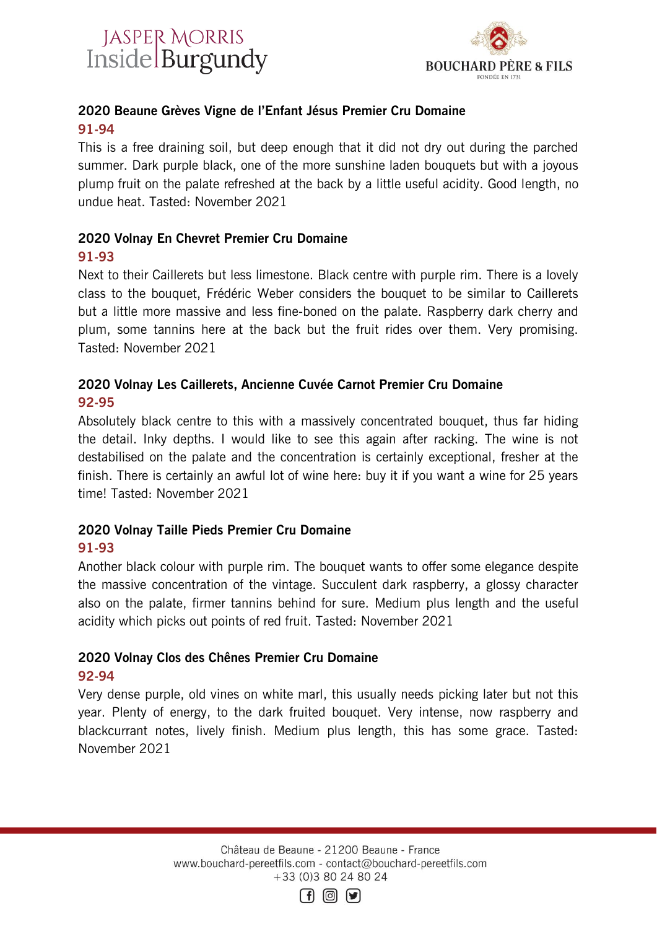



# 2020 Beaune Grèves Vigne de l'Enfant Jésus Premier Cru Domaine 91-94

This is a free draining soil, but deep enough that it did not dry out during the parched summer. Dark purple black, one of the more sunshine laden bouquets but with a joyous plump fruit on the palate refreshed at the back by a little useful acidity. Good length, no undue heat. Tasted: November 2021

#### 2020 Volnay En Chevret Premier Cru Domaine 91-93

Next to their Caillerets but less limestone. Black centre with purple rim. There is a lovely class to the bouquet, Frédéric Weber considers the bouquet to be similar to Caillerets but a little more massive and less fine-boned on the palate. Raspberry dark cherry and plum, some tannins here at the back but the fruit rides over them. Very promising. Tasted: November 2021

## 2020 Volnay Les Caillerets, Ancienne Cuvée Carnot Premier Cru Domaine 92-95

Absolutely black centre to this with a massively concentrated bouquet, thus far hiding the detail. Inky depths. I would like to see this again after racking. The wine is not destabilised on the palate and the concentration is certainly exceptional, fresher at the finish. There is certainly an awful lot of wine here: buy it if you want a wine for 25 years time! Tasted: November 2021

## 2020 Volnay Taille Pieds Premier Cru Domaine 91-93

Another black colour with purple rim. The bouquet wants to offer some elegance despite the massive concentration of the vintage. Succulent dark raspberry, a glossy character also on the palate, firmer tannins behind for sure. Medium plus length and the useful acidity which picks out points of red fruit. Tasted: November 2021

# 2020 Volnay Clos des Chênes Premier Cru Domaine 92-94

Very dense purple, old vines on white marl, this usually needs picking later but not this year. Plenty of energy, to the dark fruited bouquet. Very intense, now raspberry and blackcurrant notes, lively finish. Medium plus length, this has some grace. Tasted: November 2021

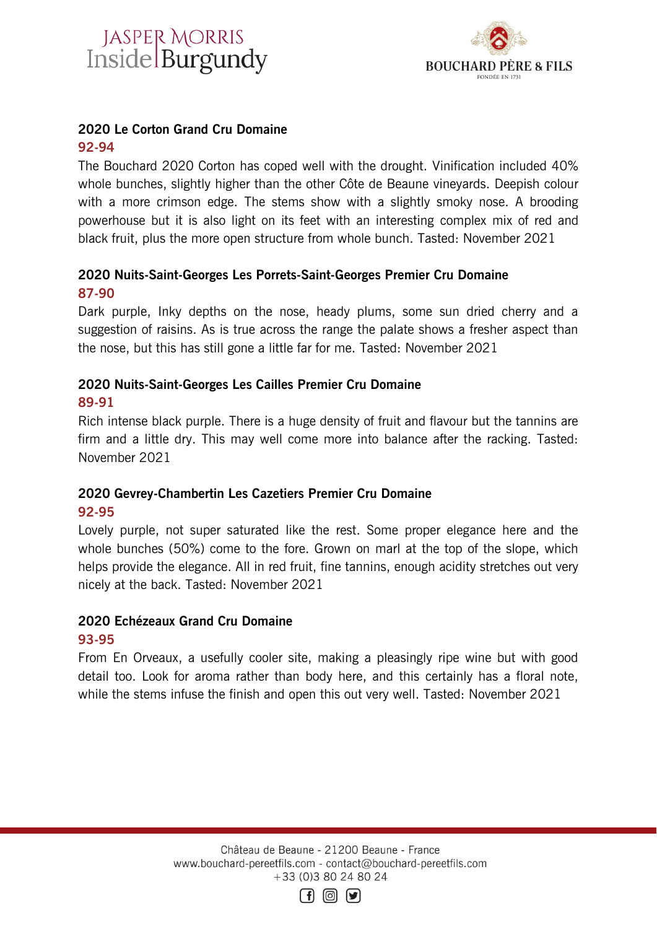# JASPER MORRIS<br>Inside Burgundy



# 2020 Le Corton Grand Cru Domaine

## 92-94

The Bouchard 2020 Corton has coped well with the drought. Vinification included 40% whole bunches, slightly higher than the other Côte de Beaune vineyards. Deepish colour with a more crimson edge. The stems show with a slightly smoky nose. A brooding powerhouse but it is also light on its feet with an interesting complex mix of red and black fruit, plus the more open structure from whole bunch. Tasted: November 2021

# 2020 Nuits-Saint-Georges Les Porrets-Saint-Georges Premier Cru Domaine 87-90

Dark purple, Inky depths on the nose, heady plums, some sun dried cherry and a suggestion of raisins. As is true across the range the palate shows a fresher aspect than the nose, but this has still gone a little far for me. Tasted: November 2021

## 2020 Nuits-Saint-Georges Les Cailles Premier Cru Domaine 89-91

Rich intense black purple. There is a huge density of fruit and flavour but the tannins are firm and a little dry. This may well come more into balance after the racking. Tasted: November 2021

## 2020 Gevrey-Chambertin Les Cazetiers Premier Cru Domaine 92-95

Lovely purple, not super saturated like the rest. Some proper elegance here and the whole bunches (50%) come to the fore. Grown on marl at the top of the slope, which helps provide the elegance. All in red fruit, fine tannins, enough acidity stretches out very nicely at the back. Tasted: November 2021

# 2020 Echézeaux Grand Cru Domaine

# 93-95

From En Orveaux, a usefully cooler site, making a pleasingly ripe wine but with good detail too. Look for aroma rather than body here, and this certainly has a floral note, while the stems infuse the finish and open this out very well. Tasted: November 2021